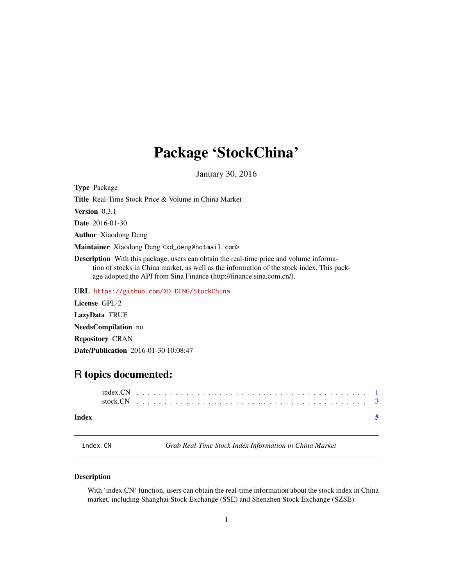# <span id="page-0-0"></span>Package 'StockChina'

January 30, 2016

Type Package Title Real-Time Stock Price & Volume in China Market Version 0.3.1 Date 2016-01-30 Author Xiaodong Deng Maintainer Xiaodong Deng <xd\_deng@hotmail.com> Description With this package, users can obtain the real-time price and volume information of stocks in China market, as well as the information of the stock index. This package adopted the API from Sina Finance (http://finance.sina.com.cn/).

URL <https://github.com/XD-DENG/StockChina>

License GPL-2 LazyData TRUE NeedsCompilation no Repository CRAN Date/Publication 2016-01-30 10:08:47

## R topics documented:

#### **Index** [5](#page-4-0). The second state of the second state of the second state of the second state of the second state of the second state of the second state of the second state of the second state of the second state of the second

index.CN *Grab Real-Time Stock Index Information in China Market*

#### Description

With 'index.CN' function, users can obtain the real-time information about the stock index in China market, including Shanghai Stock Exchange (SSE) and Shenzhen Stock Exchange (SZSE).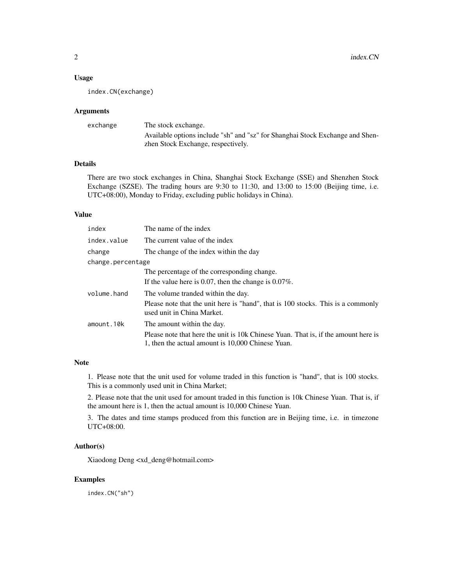#### Usage

index.CN(exchange)

#### Arguments

| exchange | The stock exchange.                                                           |
|----------|-------------------------------------------------------------------------------|
|          | Available options include "sh" and "sz" for Shanghai Stock Exchange and Shen- |
|          | zhen Stock Exchange, respectively.                                            |

#### Details

There are two stock exchanges in China, Shanghai Stock Exchange (SSE) and Shenzhen Stock Exchange (SZSE). The trading hours are 9:30 to 11:30, and 13:00 to 15:00 (Beijing time, i.e. UTC+08:00), Monday to Friday, excluding public holidays in China).

#### Value

| index             | The name of the index                                                                                                                   |
|-------------------|-----------------------------------------------------------------------------------------------------------------------------------------|
| index.value       | The current value of the index                                                                                                          |
| change            | The change of the index within the day                                                                                                  |
| change.percentage |                                                                                                                                         |
|                   | The percentage of the corresponding change.                                                                                             |
|                   | If the value here is 0.07, then the change is $0.07\%$ .                                                                                |
| volume.hand       | The volume tranded within the day.                                                                                                      |
|                   | Please note that the unit here is "hand", that is 100 stocks. This is a commonly<br>used unit in China Market.                          |
| amount.10k        | The amount within the day.                                                                                                              |
|                   | Please note that here the unit is 10k Chinese Yuan. That is, if the amount here is<br>1, then the actual amount is 10,000 Chinese Yuan. |

#### Note

1. Please note that the unit used for volume traded in this function is "hand", that is 100 stocks. This is a commonly used unit in China Market;

2. Please note that the unit used for amount traded in this function is 10k Chinese Yuan. That is, if the amount here is 1, then the actual amount is 10,000 Chinese Yuan.

3. The dates and time stamps produced from this function are in Beijing time, i.e. in timezone UTC+08:00.

#### Author(s)

Xiaodong Deng <xd\_deng@hotmail.com>

#### Examples

index.CN("sh")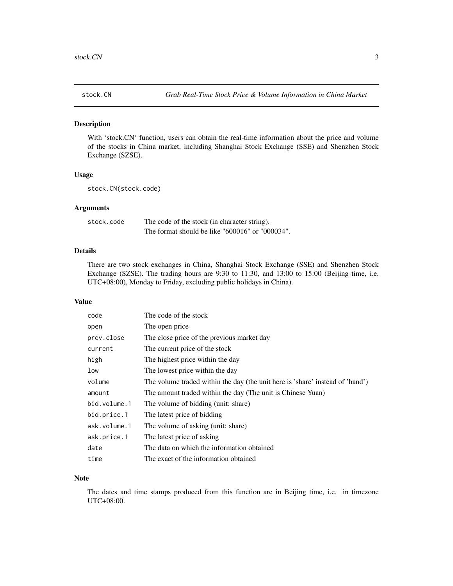<span id="page-2-0"></span>

#### Description

With 'stock.CN' function, users can obtain the real-time information about the price and volume of the stocks in China market, including Shanghai Stock Exchange (SSE) and Shenzhen Stock Exchange (SZSE).

#### Usage

stock.CN(stock.code)

#### Arguments

| stock.code | The code of the stock (in character string).    |
|------------|-------------------------------------------------|
|            | The format should be like "600016" or "000034". |

#### Details

There are two stock exchanges in China, Shanghai Stock Exchange (SSE) and Shenzhen Stock Exchange (SZSE). The trading hours are 9:30 to 11:30, and 13:00 to 15:00 (Beijing time, i.e. UTC+08:00), Monday to Friday, excluding public holidays in China).

#### Value

| code         | The code of the stock                                                         |
|--------------|-------------------------------------------------------------------------------|
| open         | The open price                                                                |
| prev.close   | The close price of the previous market day                                    |
| current      | The current price of the stock                                                |
| high         | The highest price within the day                                              |
| low          | The lowest price within the day                                               |
| volume       | The volume traded within the day (the unit here is 'share' instead of 'hand') |
| amount       | The amount traded within the day (The unit is Chinese Yuan)                   |
| bid.volume.1 | The volume of bidding (unit: share)                                           |
| bid.price.1  | The latest price of bidding                                                   |
| ask.volume.1 | The volume of asking (unit: share)                                            |
| ask.price.1  | The latest price of asking                                                    |
| date         | The data on which the information obtained                                    |
| time         | The exact of the information obtained                                         |

#### Note

The dates and time stamps produced from this function are in Beijing time, i.e. in timezone UTC+08:00.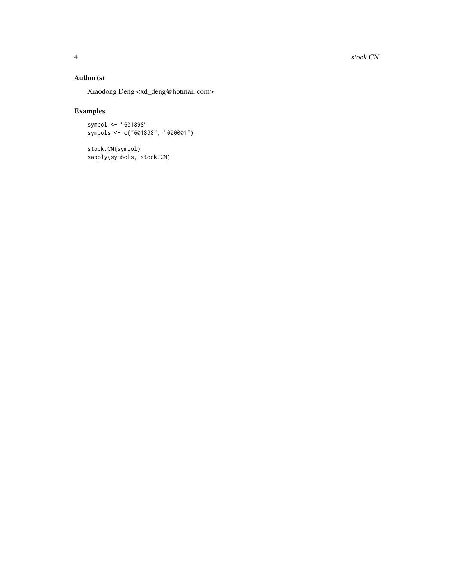#### Author(s)

Xiaodong Deng <xd\_deng@hotmail.com>

### Examples

symbol <- "601898" symbols <- c("601898", "000001")

stock.CN(symbol) sapply(symbols, stock.CN)